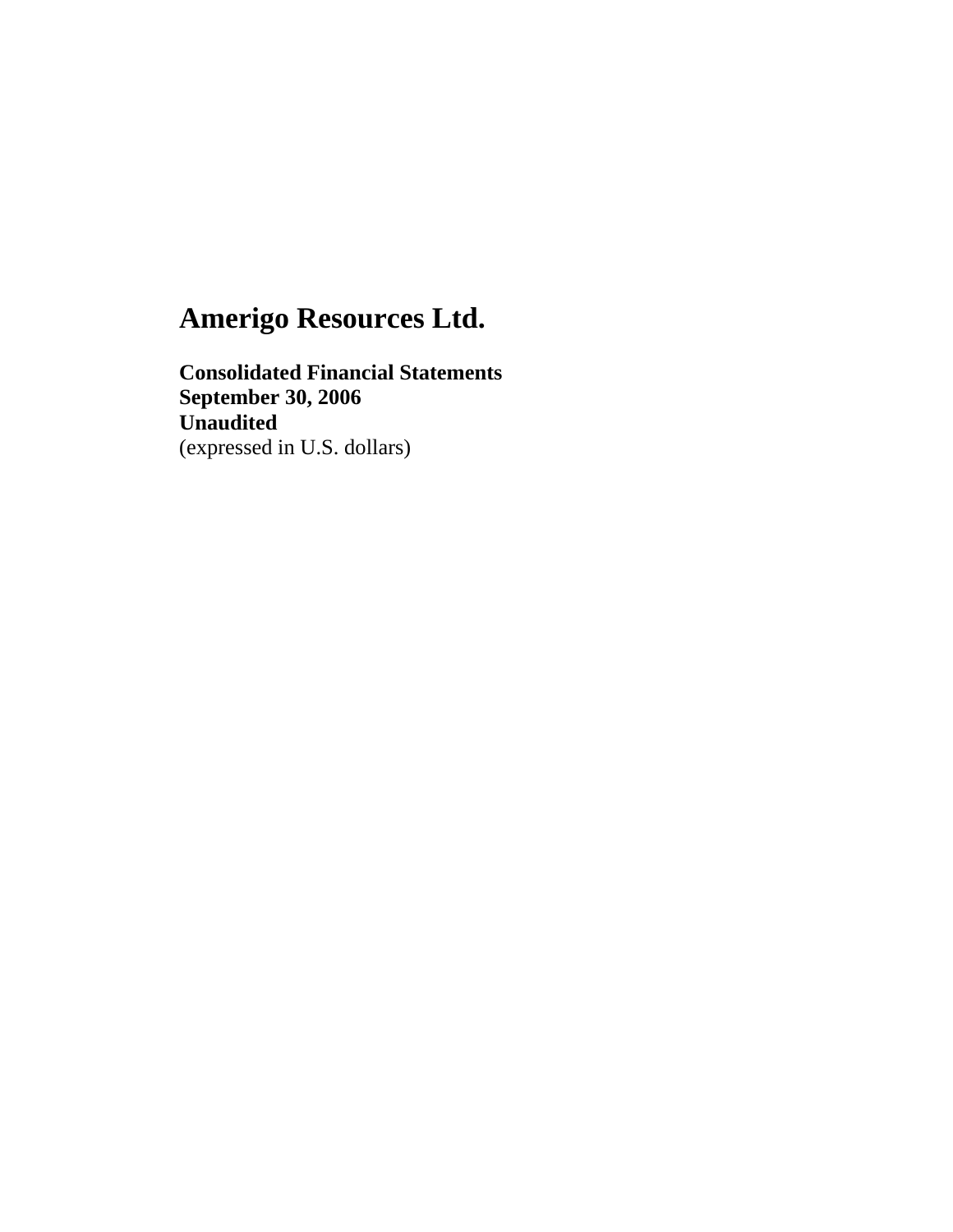**Consolidated Financial Statements September 30, 2006 Unaudited**  (expressed in U.S. dollars)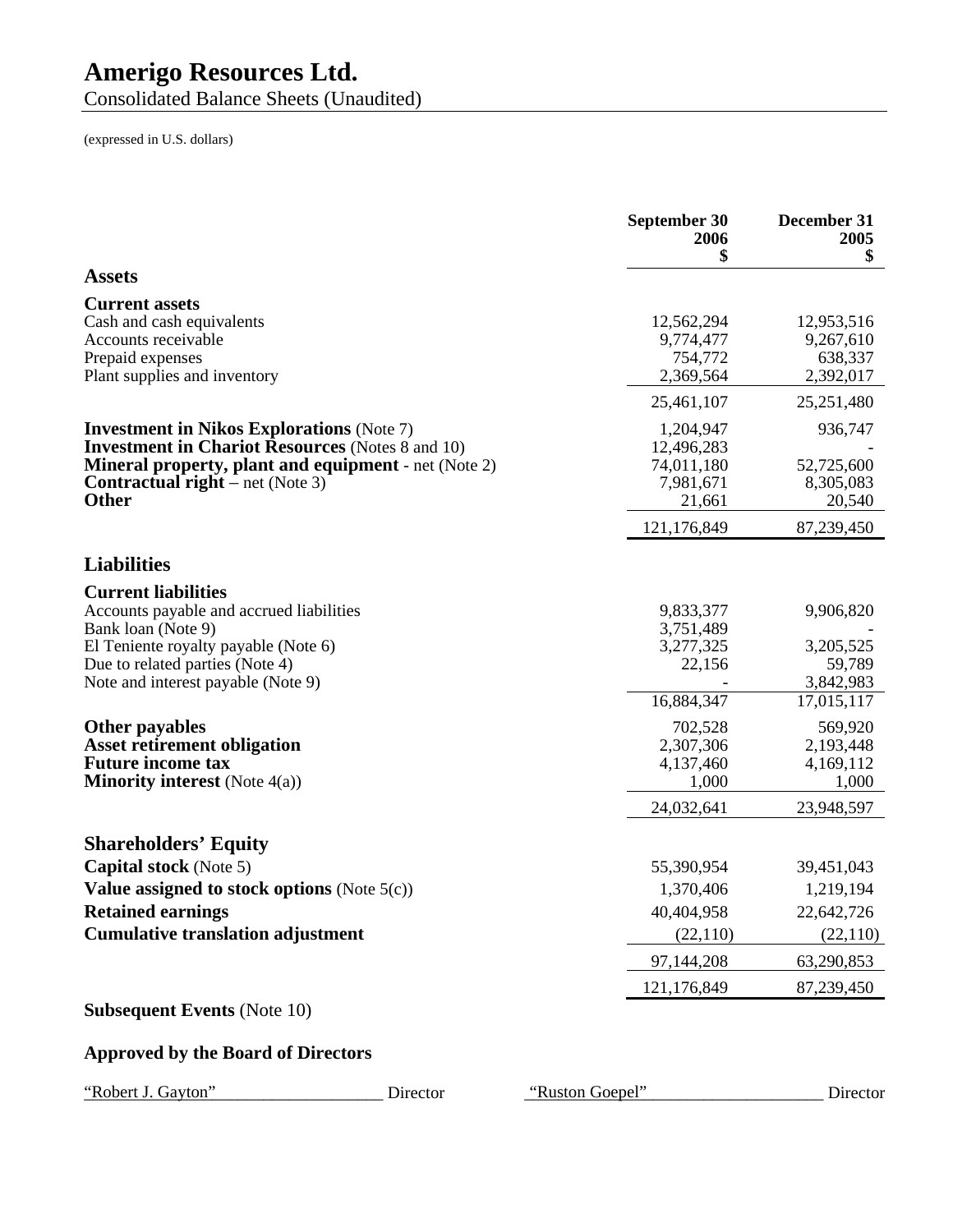Consolidated Balance Sheets (Unaudited)

|                                                                                                                                                                                                                                                                                                                                                     | September 30<br>2006<br>\$                                                                                              | December 31<br>2005<br>\$                                                                                               |
|-----------------------------------------------------------------------------------------------------------------------------------------------------------------------------------------------------------------------------------------------------------------------------------------------------------------------------------------------------|-------------------------------------------------------------------------------------------------------------------------|-------------------------------------------------------------------------------------------------------------------------|
| <b>Assets</b>                                                                                                                                                                                                                                                                                                                                       |                                                                                                                         |                                                                                                                         |
| <b>Current assets</b><br>Cash and cash equivalents<br>Accounts receivable<br>Prepaid expenses<br>Plant supplies and inventory                                                                                                                                                                                                                       | 12,562,294<br>9,774,477<br>754,772<br>2,369,564                                                                         | 12,953,516<br>9,267,610<br>638,337<br>2,392,017                                                                         |
|                                                                                                                                                                                                                                                                                                                                                     | 25,461,107                                                                                                              | 25,251,480                                                                                                              |
| <b>Investment in Nikos Explorations (Note 7)</b><br><b>Investment in Chariot Resources</b> (Notes 8 and 10)<br><b>Mineral property, plant and equipment</b> - net (Note 2)<br><b>Contractual right</b> – net (Note 3)<br><b>Other</b>                                                                                                               | 1,204,947<br>12,496,283<br>74,011,180<br>7,981,671<br>21,661                                                            | 936,747<br>52,725,600<br>8,305,083<br>20,540                                                                            |
|                                                                                                                                                                                                                                                                                                                                                     | 121,176,849                                                                                                             | 87,239,450                                                                                                              |
| <b>Liabilities</b>                                                                                                                                                                                                                                                                                                                                  |                                                                                                                         |                                                                                                                         |
| <b>Current liabilities</b><br>Accounts payable and accrued liabilities<br>Bank loan (Note 9)<br>El Teniente royalty payable (Note 6)<br>Due to related parties (Note 4)<br>Note and interest payable (Note 9)<br><b>Other payables</b><br><b>Asset retirement obligation</b><br><b>Future income tax</b><br><b>Minority interest</b> (Note $4(a)$ ) | 9,833,377<br>3,751,489<br>3,277,325<br>22,156<br>16,884,347<br>702,528<br>2,307,306<br>4,137,460<br>1,000<br>24,032,641 | 9,906,820<br>3,205,525<br>59,789<br>3,842,983<br>17,015,117<br>569,920<br>2,193,448<br>4,169,112<br>1,000<br>23,948,597 |
| <b>Shareholders' Equity</b><br><b>Capital stock</b> (Note 5)<br>Value assigned to stock options (Note $5(c)$ )<br><b>Retained earnings</b><br><b>Cumulative translation adjustment</b><br><b>Subsequent Events (Note 10)</b>                                                                                                                        | 55,390,954<br>1,370,406<br>40,404,958<br>(22, 110)<br>97,144,208<br>121,176,849                                         | 39,451,043<br>1,219,194<br>22,642,726<br>(22, 110)<br>63,290,853<br>87,239,450                                          |
| <b>Approved by the Board of Directors</b>                                                                                                                                                                                                                                                                                                           |                                                                                                                         |                                                                                                                         |
| "Robert J. Gayton"<br>Director                                                                                                                                                                                                                                                                                                                      | "Ruston Goepel"                                                                                                         | Director                                                                                                                |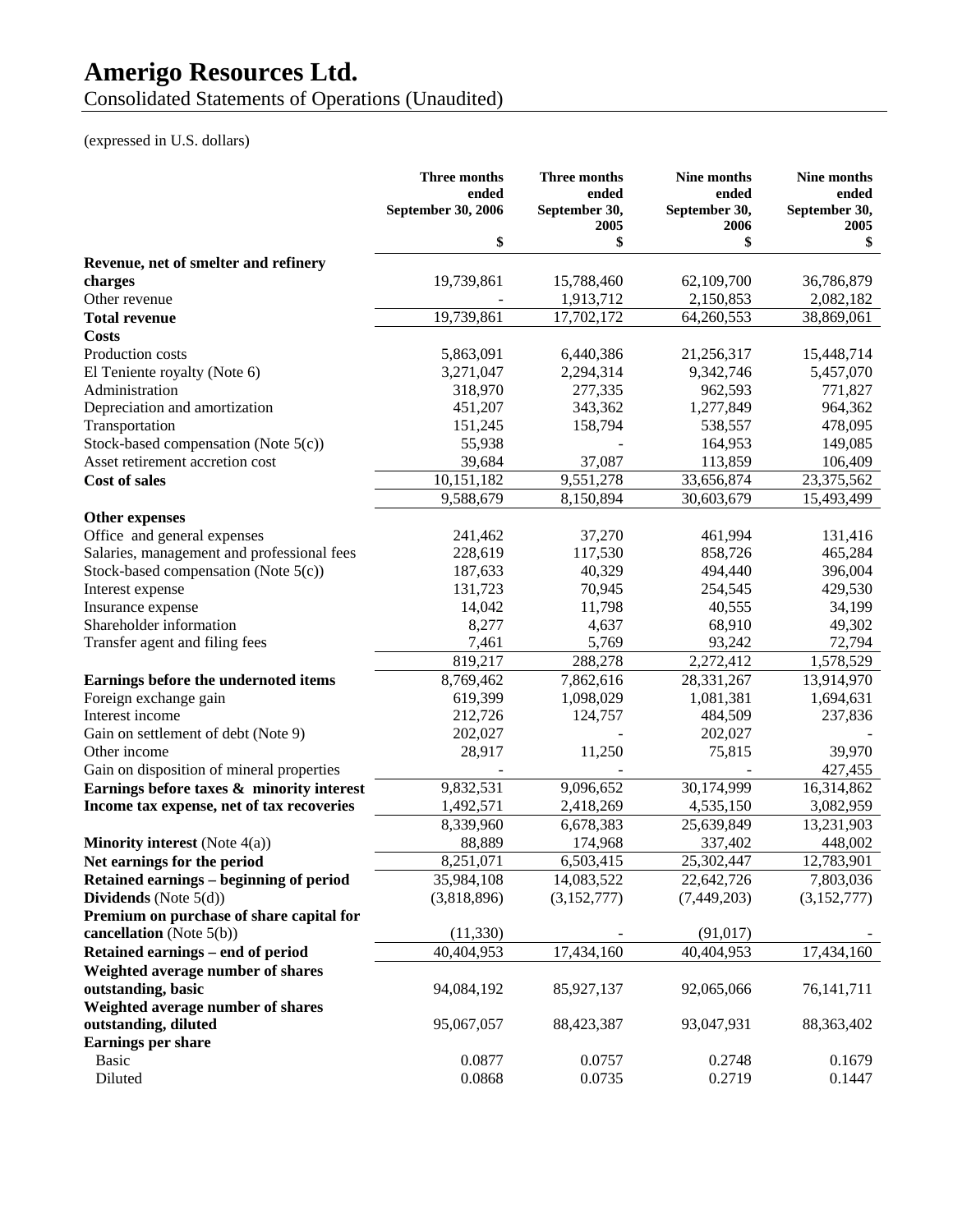Consolidated Statements of Operations (Unaudited)

|                                            | <b>Three months</b><br>ended<br>September 30, 2006 | <b>Three months</b><br>ended<br>September 30,<br>2005 | Nine months<br>ended<br>September 30,<br>2006 | Nine months<br>ended<br>September 30,<br>2005 |
|--------------------------------------------|----------------------------------------------------|-------------------------------------------------------|-----------------------------------------------|-----------------------------------------------|
|                                            | \$                                                 | \$                                                    | \$                                            | \$                                            |
| Revenue, net of smelter and refinery       |                                                    |                                                       |                                               |                                               |
| charges                                    | 19,739,861                                         | 15,788,460                                            | 62,109,700                                    | 36,786,879                                    |
| Other revenue                              |                                                    | 1,913,712                                             | 2,150,853                                     | 2,082,182                                     |
| <b>Total revenue</b>                       | 19,739,861                                         | 17,702,172                                            | 64,260,553                                    | 38,869,061                                    |
| <b>Costs</b>                               |                                                    |                                                       |                                               |                                               |
| Production costs                           | 5,863,091                                          | 6,440,386                                             | 21,256,317                                    | 15,448,714                                    |
| El Teniente royalty (Note 6)               | 3,271,047                                          | 2,294,314                                             | 9,342,746                                     | 5,457,070                                     |
| Administration                             | 318,970                                            | 277,335                                               | 962,593                                       | 771,827                                       |
| Depreciation and amortization              | 451,207                                            | 343,362                                               | 1,277,849                                     | 964,362                                       |
| Transportation                             | 151,245                                            | 158,794                                               | 538,557                                       | 478,095                                       |
| Stock-based compensation (Note 5(c))       | 55,938                                             |                                                       | 164,953                                       | 149,085                                       |
| Asset retirement accretion cost            | 39,684                                             | 37,087                                                | 113,859                                       | 106,409                                       |
| <b>Cost of sales</b>                       | 10,151,182                                         | 9,551,278                                             | 33,656,874                                    | 23,375,562                                    |
|                                            | 9,588,679                                          | 8,150,894                                             | 30,603,679                                    | 15,493,499                                    |
| <b>Other expenses</b>                      |                                                    |                                                       |                                               |                                               |
| Office and general expenses                | 241,462                                            | 37,270                                                | 461,994                                       | 131,416                                       |
| Salaries, management and professional fees | 228,619                                            | 117,530                                               | 858,726                                       | 465,284                                       |
| Stock-based compensation (Note 5(c))       | 187,633                                            | 40,329                                                | 494,440                                       | 396,004                                       |
| Interest expense                           | 131,723                                            | 70,945                                                | 254,545                                       | 429,530                                       |
| Insurance expense                          | 14,042                                             | 11,798                                                | 40,555                                        | 34,199                                        |
| Shareholder information                    | 8,277                                              | 4,637                                                 | 68,910                                        | 49,302                                        |
| Transfer agent and filing fees             | 7,461                                              | 5,769                                                 | 93,242                                        | 72,794                                        |
|                                            | 819,217                                            | 288,278                                               | 2,272,412                                     | 1,578,529                                     |
| Earnings before the undernoted items       | 8,769,462                                          | 7,862,616                                             | 28,331,267                                    | 13,914,970                                    |
| Foreign exchange gain                      | 619,399                                            | 1,098,029                                             | 1,081,381                                     | 1,694,631                                     |
| Interest income                            | 212,726                                            | 124,757                                               | 484,509                                       | 237,836                                       |
| Gain on settlement of debt (Note 9)        | 202,027                                            |                                                       | 202,027                                       |                                               |
| Other income                               | 28,917                                             | 11,250                                                | 75,815                                        | 39,970                                        |
| Gain on disposition of mineral properties  |                                                    |                                                       |                                               | 427,455                                       |
| Earnings before taxes & minority interest  | 9,832,531                                          | 9,096,652                                             | 30,174,999                                    | 16,314,862                                    |
| Income tax expense, net of tax recoveries  | 1,492,571                                          | 2,418,269                                             | 4,535,150                                     | 3,082,959                                     |
|                                            | 8,339,960                                          | 6,678,383                                             | 25,639,849                                    | 13,231,903                                    |
| <b>Minority interest</b> (Note $4(a)$ )    | 88,889                                             | 174,968                                               | 337,402                                       | 448,002                                       |
| Net earnings for the period                | 8,251,071                                          | 6,503,415                                             | 25,302,447                                    | 12,783,901                                    |
| Retained earnings - beginning of period    | 35,984,108                                         | 14,083,522                                            | 22,642,726                                    | 7,803,036                                     |
| Dividends (Note $5(d)$ )                   | (3,818,896)                                        | (3,152,777)                                           | (7,449,203)                                   | (3,152,777)                                   |
| Premium on purchase of share capital for   |                                                    |                                                       |                                               |                                               |
| cancellation (Note $5(b)$ )                | (11, 330)                                          |                                                       | (91, 017)                                     |                                               |
| Retained earnings - end of period          | 40,404,953                                         | 17,434,160                                            | 40,404,953                                    | 17,434,160                                    |
| Weighted average number of shares          |                                                    |                                                       |                                               |                                               |
| outstanding, basic                         | 94,084,192                                         | 85,927,137                                            | 92,065,066                                    | 76, 141, 711                                  |
| Weighted average number of shares          |                                                    |                                                       |                                               |                                               |
| outstanding, diluted                       | 95,067,057                                         | 88,423,387                                            | 93,047,931                                    | 88, 363, 402                                  |
| <b>Earnings per share</b>                  |                                                    |                                                       |                                               |                                               |
| <b>Basic</b>                               | 0.0877                                             | 0.0757                                                | 0.2748                                        | 0.1679                                        |
| Diluted                                    | 0.0868                                             | 0.0735                                                | 0.2719                                        | 0.1447                                        |
|                                            |                                                    |                                                       |                                               |                                               |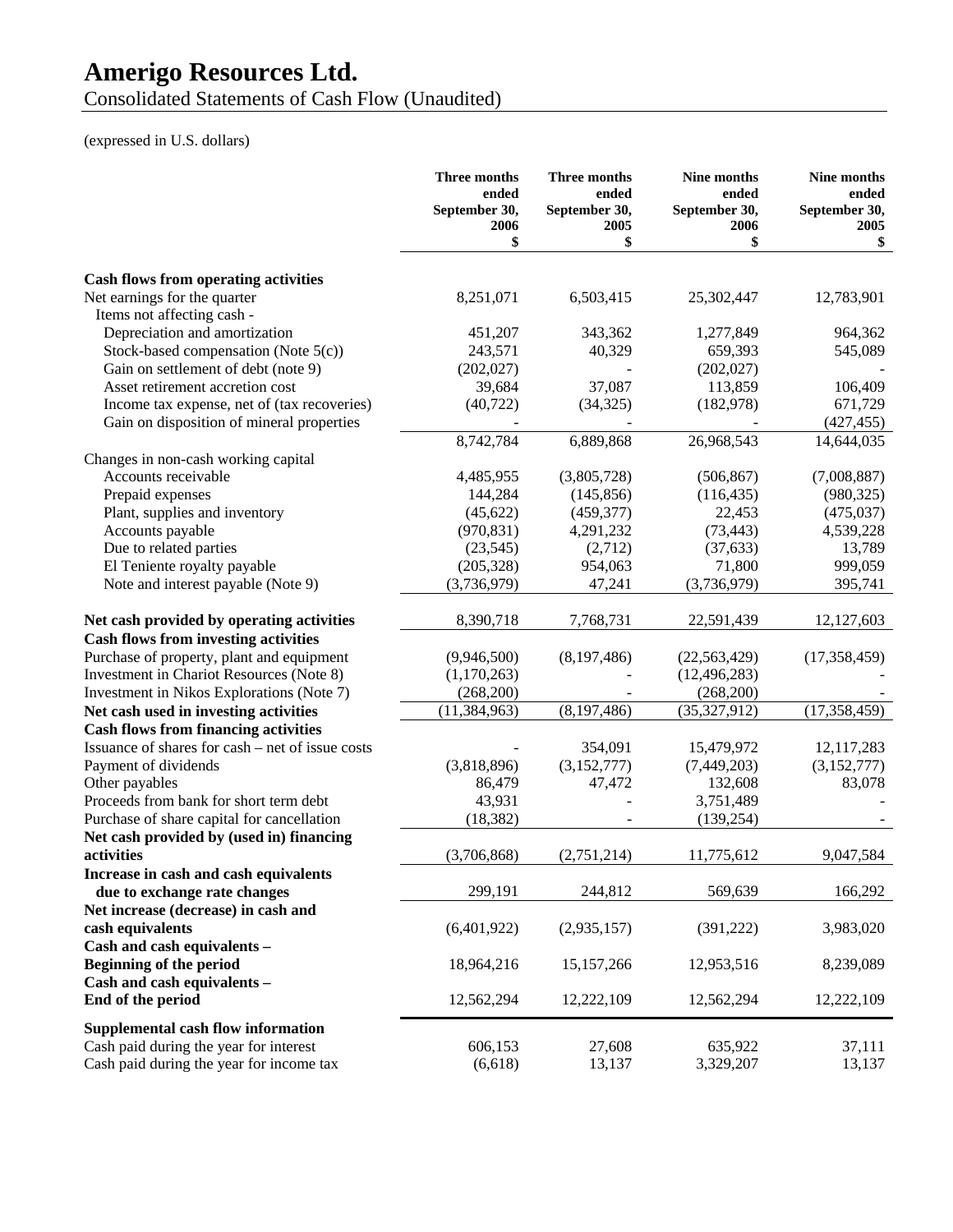Consolidated Statements of Cash Flow (Unaudited)

|                                                  | <b>Three months</b><br>ended<br>September 30,<br>2006<br>\$ | Three months<br>ended<br>September 30,<br>2005<br>\$ | <b>Nine months</b><br>ended<br>September 30,<br>2006<br>\$ | Nine months<br>ended<br>September 30,<br>2005<br>\$ |
|--------------------------------------------------|-------------------------------------------------------------|------------------------------------------------------|------------------------------------------------------------|-----------------------------------------------------|
|                                                  |                                                             |                                                      |                                                            |                                                     |
| <b>Cash flows from operating activities</b>      |                                                             |                                                      |                                                            |                                                     |
| Net earnings for the quarter                     | 8,251,071                                                   | 6,503,415                                            | 25,302,447                                                 | 12,783,901                                          |
| Items not affecting cash -                       |                                                             |                                                      |                                                            |                                                     |
| Depreciation and amortization                    | 451,207                                                     | 343,362                                              | 1,277,849                                                  | 964,362                                             |
| Stock-based compensation (Note $5(c)$ )          | 243,571                                                     | 40,329                                               | 659,393                                                    | 545,089                                             |
| Gain on settlement of debt (note 9)              | (202, 027)                                                  |                                                      | (202, 027)                                                 |                                                     |
| Asset retirement accretion cost                  | 39,684                                                      | 37,087                                               | 113,859                                                    | 106,409                                             |
| Income tax expense, net of (tax recoveries)      | (40, 722)                                                   | (34, 325)                                            | (182, 978)                                                 | 671,729                                             |
| Gain on disposition of mineral properties        |                                                             |                                                      |                                                            | (427, 455)                                          |
|                                                  | 8,742,784                                                   | 6,889,868                                            | 26,968,543                                                 | 14,644,035                                          |
| Changes in non-cash working capital              |                                                             |                                                      |                                                            |                                                     |
| Accounts receivable                              | 4,485,955                                                   | (3,805,728)                                          | (506, 867)                                                 | (7,008,887)                                         |
| Prepaid expenses                                 | 144,284                                                     | (145, 856)                                           | (116, 435)                                                 | (980, 325)                                          |
| Plant, supplies and inventory                    | (45, 622)                                                   | (459, 377)                                           | 22,453                                                     | (475, 037)                                          |
| Accounts payable                                 | (970, 831)                                                  | 4,291,232                                            | (73, 443)                                                  | 4,539,228                                           |
| Due to related parties                           | (23, 545)                                                   | (2,712)                                              | (37, 633)                                                  | 13,789                                              |
| El Teniente royalty payable                      | (205, 328)                                                  | 954,063                                              | 71,800                                                     | 999,059                                             |
| Note and interest payable (Note 9)               | (3,736,979)                                                 | 47,241                                               | (3,736,979)                                                | 395,741                                             |
| Net cash provided by operating activities        | 8,390,718                                                   | 7,768,731                                            | 22,591,439                                                 | 12,127,603                                          |
| <b>Cash flows from investing activities</b>      |                                                             |                                                      |                                                            |                                                     |
| Purchase of property, plant and equipment        | (9,946,500)                                                 | (8,197,486)                                          | (22, 563, 429)                                             | (17, 358, 459)                                      |
| Investment in Chariot Resources (Note 8)         | (1,170,263)                                                 |                                                      | (12, 496, 283)                                             |                                                     |
| Investment in Nikos Explorations (Note 7)        | (268,200)                                                   |                                                      | (268,200)                                                  |                                                     |
| Net cash used in investing activities            | (11, 384, 963)                                              | (8, 197, 486)                                        | (35,327,912)                                               | (17, 358, 459)                                      |
| <b>Cash flows from financing activities</b>      |                                                             |                                                      |                                                            |                                                     |
| Issuance of shares for cash – net of issue costs |                                                             | 354,091                                              | 15,479,972                                                 | 12,117,283                                          |
| Payment of dividends                             | (3,818,896)                                                 | (3,152,777)                                          | (7,449,203)                                                | (3,152,777)                                         |
| Other payables                                   | 86,479                                                      | 47,472                                               | 132,608                                                    | 83,078                                              |
| Proceeds from bank for short term debt           | 43,931                                                      |                                                      | 3,751,489                                                  |                                                     |
| Purchase of share capital for cancellation       | (18, 382)                                                   |                                                      | (139, 254)                                                 |                                                     |
| Net cash provided by (used in) financing         |                                                             |                                                      |                                                            |                                                     |
| activities                                       | (3,706,868)                                                 | (2,751,214)                                          | 11,775,612                                                 | 9,047,584                                           |
| Increase in cash and cash equivalents            |                                                             |                                                      |                                                            |                                                     |
| due to exchange rate changes                     | 299,191                                                     | 244,812                                              | 569,639                                                    | 166,292                                             |
| Net increase (decrease) in cash and              |                                                             |                                                      |                                                            |                                                     |
| cash equivalents                                 | (6,401,922)                                                 | (2,935,157)                                          | (391, 222)                                                 | 3,983,020                                           |
| Cash and cash equivalents -                      |                                                             |                                                      |                                                            |                                                     |
|                                                  |                                                             |                                                      |                                                            |                                                     |
| <b>Beginning of the period</b>                   | 18,964,216                                                  | 15,157,266                                           | 12,953,516                                                 | 8,239,089                                           |
| Cash and cash equivalents -                      |                                                             |                                                      |                                                            |                                                     |
| End of the period                                | 12,562,294                                                  | 12,222,109                                           | 12,562,294                                                 | 12,222,109                                          |
| Supplemental cash flow information               |                                                             |                                                      |                                                            |                                                     |
| Cash paid during the year for interest           | 606,153                                                     | 27,608                                               | 635,922                                                    | 37,111                                              |
| Cash paid during the year for income tax         | (6,618)                                                     | 13,137                                               | 3,329,207                                                  | 13,137                                              |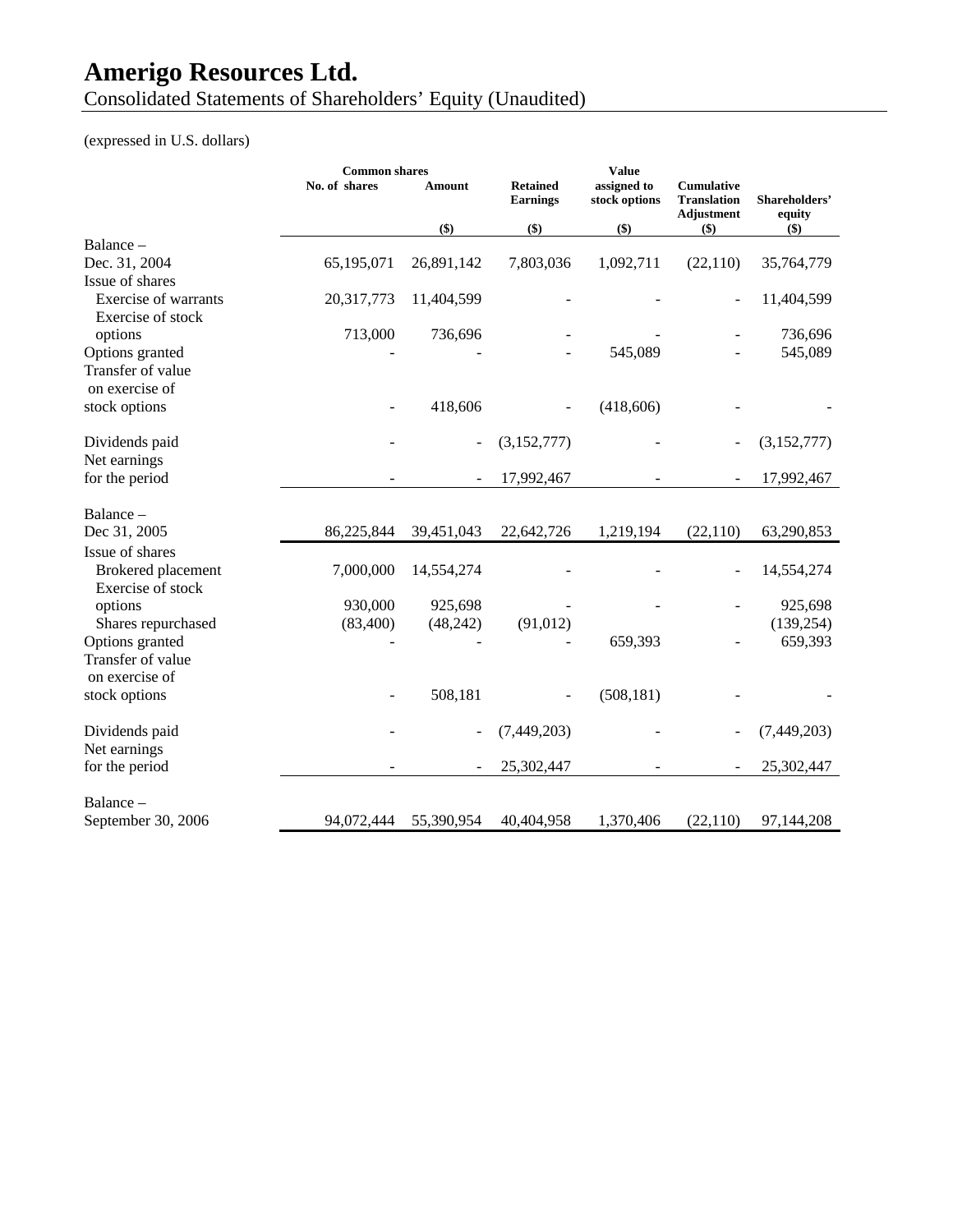Consolidated Statements of Shareholders' Equity (Unaudited)

|                                           | <b>Common shares</b> |            |                                    | <b>Value</b>                 |                                                              |                         |
|-------------------------------------------|----------------------|------------|------------------------------------|------------------------------|--------------------------------------------------------------|-------------------------|
|                                           | No. of shares        | Amount     | <b>Retained</b><br><b>Earnings</b> | assigned to<br>stock options | <b>Cumulative</b><br><b>Translation</b><br><b>Adjustment</b> | Shareholders'<br>equity |
|                                           |                      | $($ \$)    | \$)                                | $($)$                        | $($ \$ $)$                                                   | $($ \$)                 |
| Balance -                                 |                      |            |                                    |                              |                                                              |                         |
| Dec. 31, 2004                             | 65,195,071           | 26,891,142 | 7,803,036                          | 1,092,711                    | (22, 110)                                                    | 35,764,779              |
| Issue of shares                           |                      |            |                                    |                              |                                                              |                         |
| Exercise of warrants<br>Exercise of stock | 20,317,773           | 11,404,599 |                                    |                              |                                                              | 11,404,599              |
| options                                   | 713,000              | 736,696    |                                    |                              |                                                              | 736,696                 |
| Options granted                           |                      |            |                                    | 545,089                      |                                                              | 545,089                 |
| Transfer of value                         |                      |            |                                    |                              |                                                              |                         |
| on exercise of                            |                      |            |                                    |                              |                                                              |                         |
| stock options                             |                      | 418,606    |                                    | (418, 606)                   |                                                              |                         |
| Dividends paid<br>Net earnings            |                      |            | (3,152,777)                        |                              |                                                              | (3,152,777)             |
| for the period                            |                      |            | 17,992,467                         |                              |                                                              | 17,992,467              |
| Balance -<br>Dec 31, 2005                 | 86,225,844           | 39,451,043 | 22,642,726                         | 1,219,194                    | (22, 110)                                                    | 63,290,853              |
| Issue of shares                           |                      |            |                                    |                              |                                                              |                         |
| Brokered placement<br>Exercise of stock   | 7,000,000            | 14,554,274 |                                    |                              |                                                              | 14,554,274              |
| options                                   | 930,000              | 925,698    |                                    |                              |                                                              | 925,698                 |
| Shares repurchased                        | (83,400)             | (48,242)   | (91, 012)                          |                              |                                                              | (139, 254)              |
| Options granted                           |                      |            |                                    | 659,393                      |                                                              | 659,393                 |
| Transfer of value                         |                      |            |                                    |                              |                                                              |                         |
| on exercise of                            |                      |            |                                    |                              |                                                              |                         |
| stock options                             |                      | 508,181    |                                    | (508, 181)                   |                                                              |                         |
| Dividends paid                            |                      |            | (7,449,203)                        |                              |                                                              | (7,449,203)             |
| Net earnings                              |                      |            |                                    |                              |                                                              |                         |
| for the period                            |                      |            | 25,302,447                         |                              |                                                              | 25,302,447              |
| Balance -                                 |                      |            |                                    |                              |                                                              |                         |
| September 30, 2006                        | 94,072,444           | 55,390,954 | 40,404,958                         | 1,370,406                    | (22, 110)                                                    | 97,144,208              |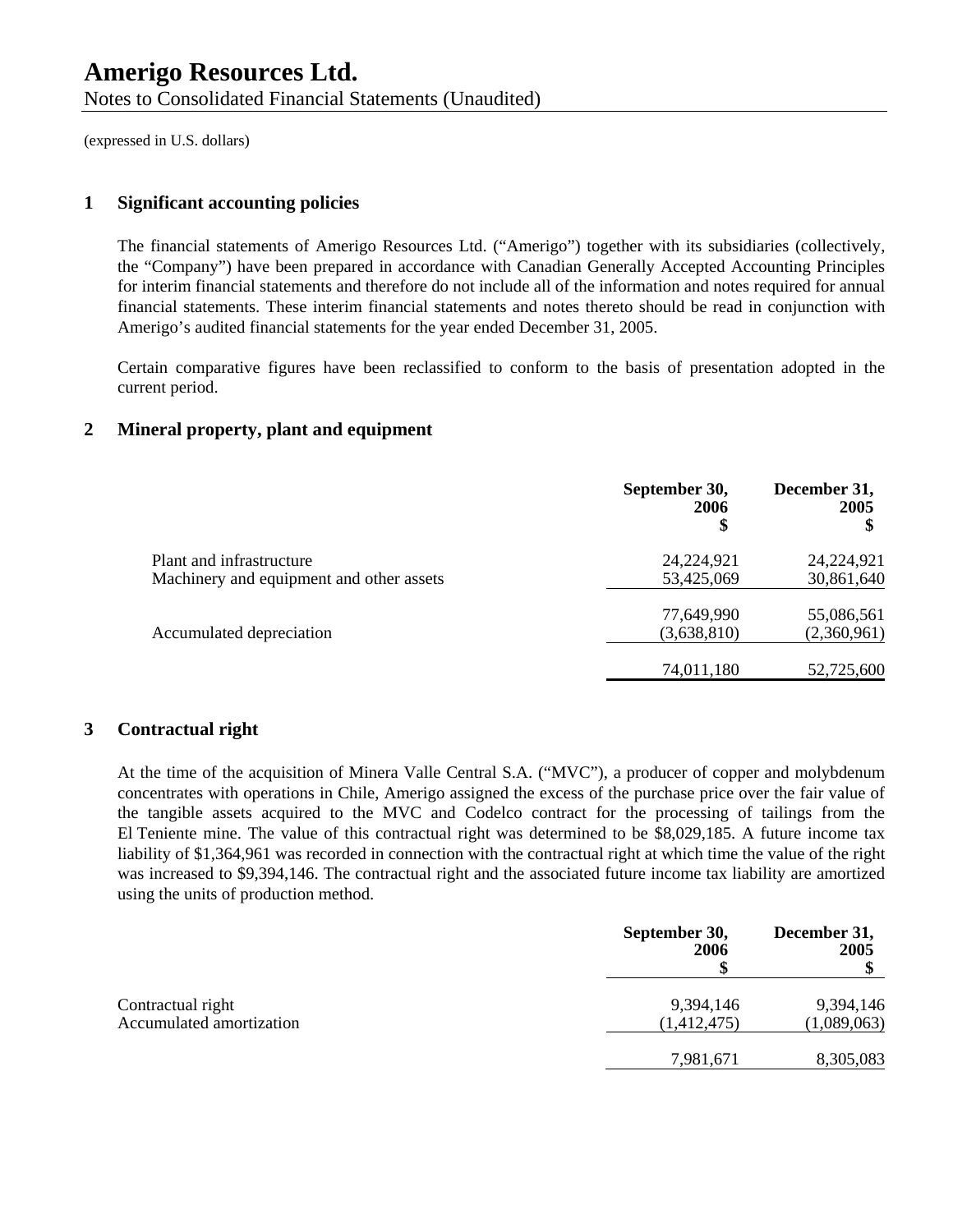#### **1 Significant accounting policies**

The financial statements of Amerigo Resources Ltd. ("Amerigo") together with its subsidiaries (collectively, the "Company") have been prepared in accordance with Canadian Generally Accepted Accounting Principles for interim financial statements and therefore do not include all of the information and notes required for annual financial statements. These interim financial statements and notes thereto should be read in conjunction with Amerigo's audited financial statements for the year ended December 31, 2005.

Certain comparative figures have been reclassified to conform to the basis of presentation adopted in the current period.

#### **2 Mineral property, plant and equipment**

|                                          | September 30,<br>2006<br>\$ | December 31,<br>2005 |
|------------------------------------------|-----------------------------|----------------------|
| Plant and infrastructure                 | 24,224,921                  | 24,224,921           |
| Machinery and equipment and other assets | 53,425,069                  | 30,861,640           |
|                                          | 77,649,990                  | 55,086,561           |
| Accumulated depreciation                 | (3,638,810)                 | (2,360,961)          |
|                                          | 74,011,180                  | 52,725,600           |

#### **3 Contractual right**

At the time of the acquisition of Minera Valle Central S.A. ("MVC"), a producer of copper and molybdenum concentrates with operations in Chile, Amerigo assigned the excess of the purchase price over the fair value of the tangible assets acquired to the MVC and Codelco contract for the processing of tailings from the El Teniente mine. The value of this contractual right was determined to be \$8,029,185. A future income tax liability of \$1,364,961 was recorded in connection with the contractual right at which time the value of the right was increased to \$9,394,146. The contractual right and the associated future income tax liability are amortized using the units of production method.

|                          | September 30,<br>2006 | December 31,<br>2005 |
|--------------------------|-----------------------|----------------------|
| Contractual right        | 9,394,146             | 9,394,146            |
| Accumulated amortization | (1,412,475)           | (1,089,063)          |
|                          | 7,981,671             | 8,305,083            |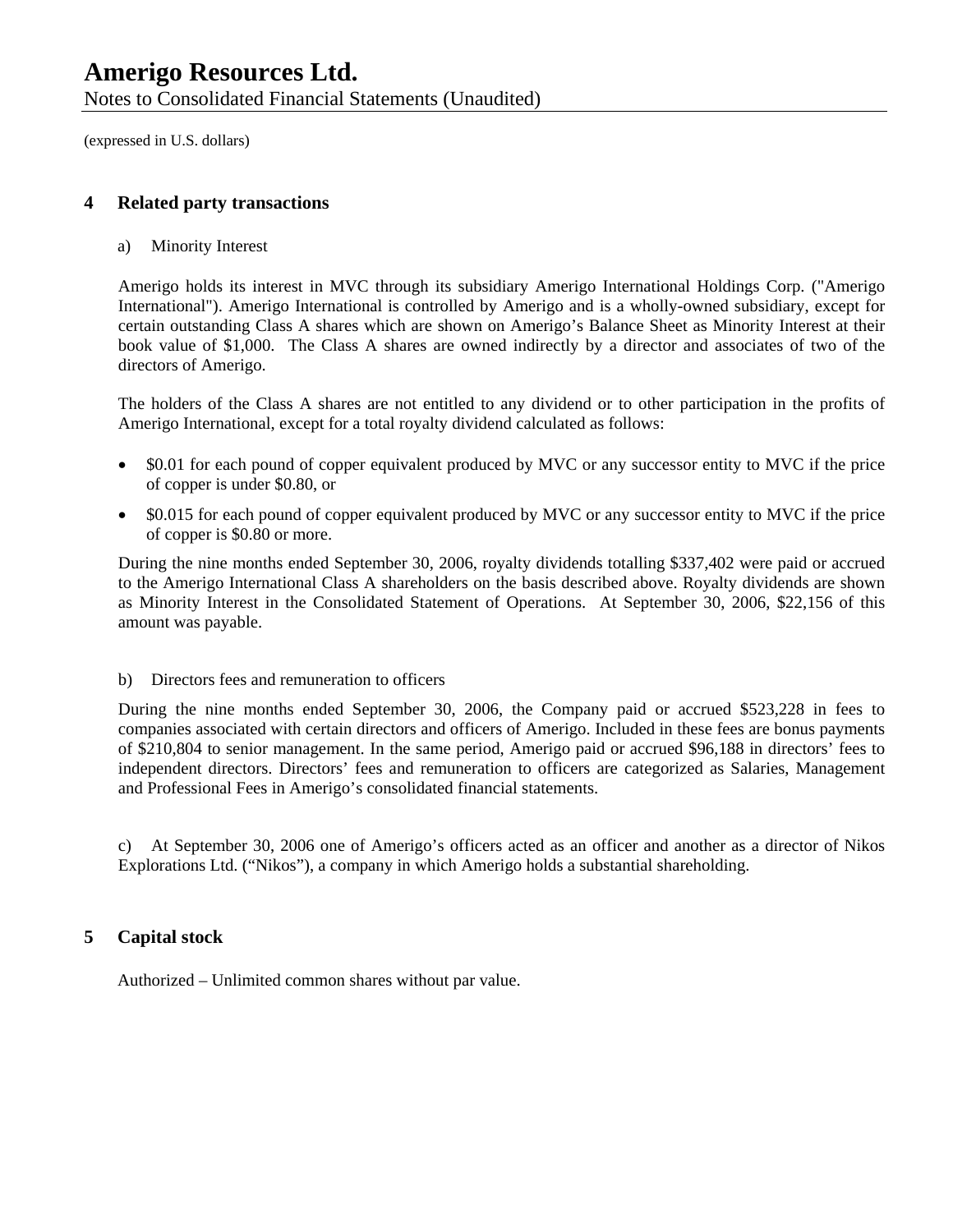Notes to Consolidated Financial Statements (Unaudited)

(expressed in U.S. dollars)

#### **4 Related party transactions**

a) Minority Interest

Amerigo holds its interest in MVC through its subsidiary Amerigo International Holdings Corp. ("Amerigo International"). Amerigo International is controlled by Amerigo and is a wholly-owned subsidiary, except for certain outstanding Class A shares which are shown on Amerigo's Balance Sheet as Minority Interest at their book value of \$1,000. The Class A shares are owned indirectly by a director and associates of two of the directors of Amerigo.

The holders of the Class A shares are not entitled to any dividend or to other participation in the profits of Amerigo International, except for a total royalty dividend calculated as follows:

- \$0.01 for each pound of copper equivalent produced by MVC or any successor entity to MVC if the price of copper is under \$0.80, or
- \$0.015 for each pound of copper equivalent produced by MVC or any successor entity to MVC if the price of copper is \$0.80 or more.

During the nine months ended September 30, 2006, royalty dividends totalling \$337,402 were paid or accrued to the Amerigo International Class A shareholders on the basis described above. Royalty dividends are shown as Minority Interest in the Consolidated Statement of Operations. At September 30, 2006, \$22,156 of this amount was payable.

#### b) Directors fees and remuneration to officers

During the nine months ended September 30, 2006, the Company paid or accrued \$523,228 in fees to companies associated with certain directors and officers of Amerigo. Included in these fees are bonus payments of \$210,804 to senior management. In the same period, Amerigo paid or accrued \$96,188 in directors' fees to independent directors. Directors' fees and remuneration to officers are categorized as Salaries, Management and Professional Fees in Amerigo's consolidated financial statements.

c) At September 30, 2006 one of Amerigo's officers acted as an officer and another as a director of Nikos Explorations Ltd. ("Nikos"), a company in which Amerigo holds a substantial shareholding.

#### **5 Capital stock**

Authorized – Unlimited common shares without par value.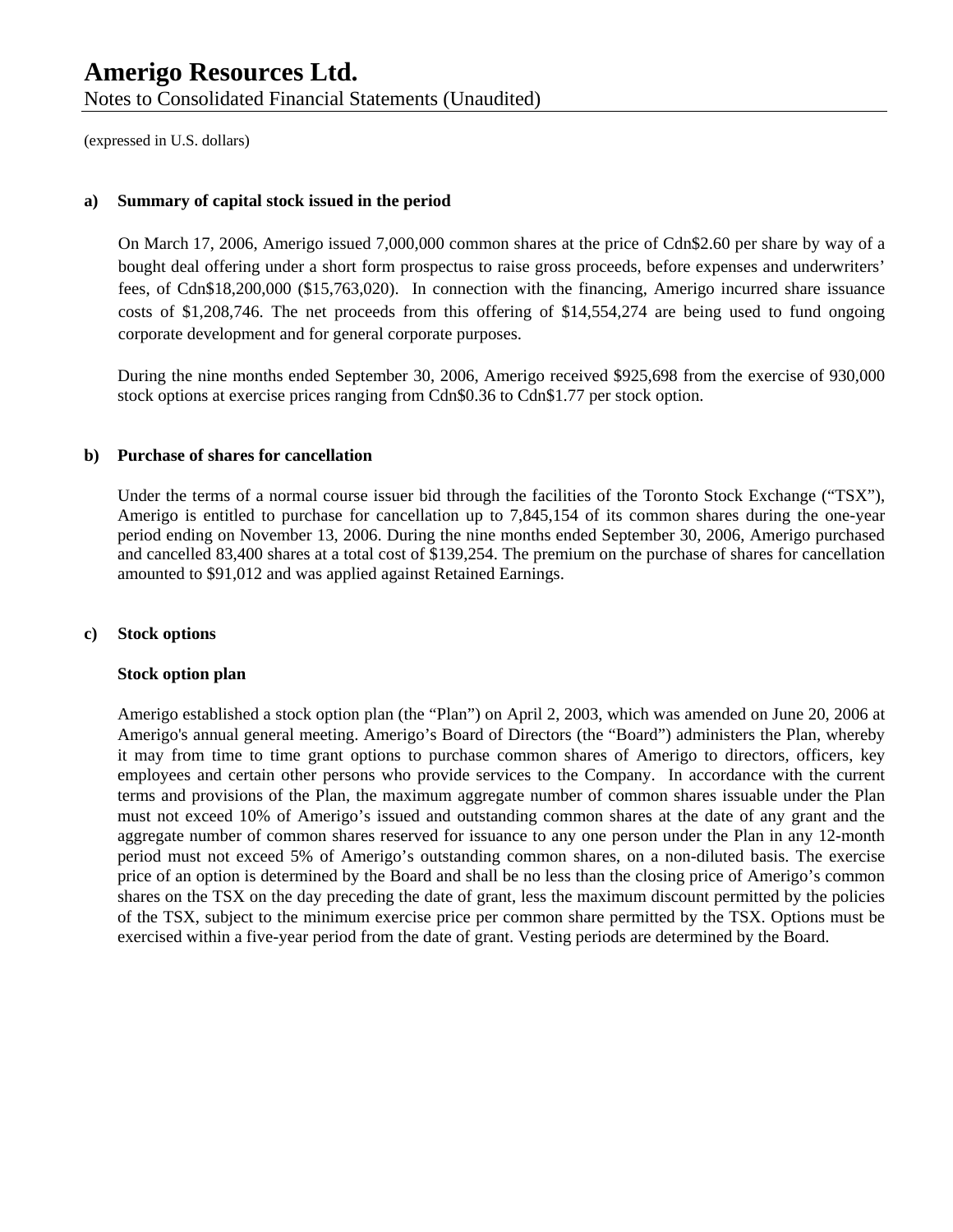#### **a) Summary of capital stock issued in the period**

On March 17, 2006, Amerigo issued 7,000,000 common shares at the price of Cdn\$2.60 per share by way of a bought deal offering under a short form prospectus to raise gross proceeds, before expenses and underwriters' fees, of Cdn\$18,200,000 (\$15,763,020). In connection with the financing, Amerigo incurred share issuance costs of \$1,208,746. The net proceeds from this offering of \$14,554,274 are being used to fund ongoing corporate development and for general corporate purposes.

During the nine months ended September 30, 2006, Amerigo received \$925,698 from the exercise of 930,000 stock options at exercise prices ranging from Cdn\$0.36 to Cdn\$1.77 per stock option.

#### **b) Purchase of shares for cancellation**

Under the terms of a normal course issuer bid through the facilities of the Toronto Stock Exchange ("TSX"), Amerigo is entitled to purchase for cancellation up to 7,845,154 of its common shares during the one-year period ending on November 13, 2006. During the nine months ended September 30, 2006, Amerigo purchased and cancelled 83,400 shares at a total cost of \$139,254. The premium on the purchase of shares for cancellation amounted to \$91,012 and was applied against Retained Earnings.

#### **c) Stock options**

#### **Stock option plan**

Amerigo established a stock option plan (the "Plan") on April 2, 2003, which was amended on June 20, 2006 at Amerigo's annual general meeting. Amerigo's Board of Directors (the "Board") administers the Plan, whereby it may from time to time grant options to purchase common shares of Amerigo to directors, officers, key employees and certain other persons who provide services to the Company. In accordance with the current terms and provisions of the Plan, the maximum aggregate number of common shares issuable under the Plan must not exceed 10% of Amerigo's issued and outstanding common shares at the date of any grant and the aggregate number of common shares reserved for issuance to any one person under the Plan in any 12-month period must not exceed 5% of Amerigo's outstanding common shares, on a non-diluted basis. The exercise price of an option is determined by the Board and shall be no less than the closing price of Amerigo's common shares on the TSX on the day preceding the date of grant, less the maximum discount permitted by the policies of the TSX, subject to the minimum exercise price per common share permitted by the TSX. Options must be exercised within a five-year period from the date of grant. Vesting periods are determined by the Board.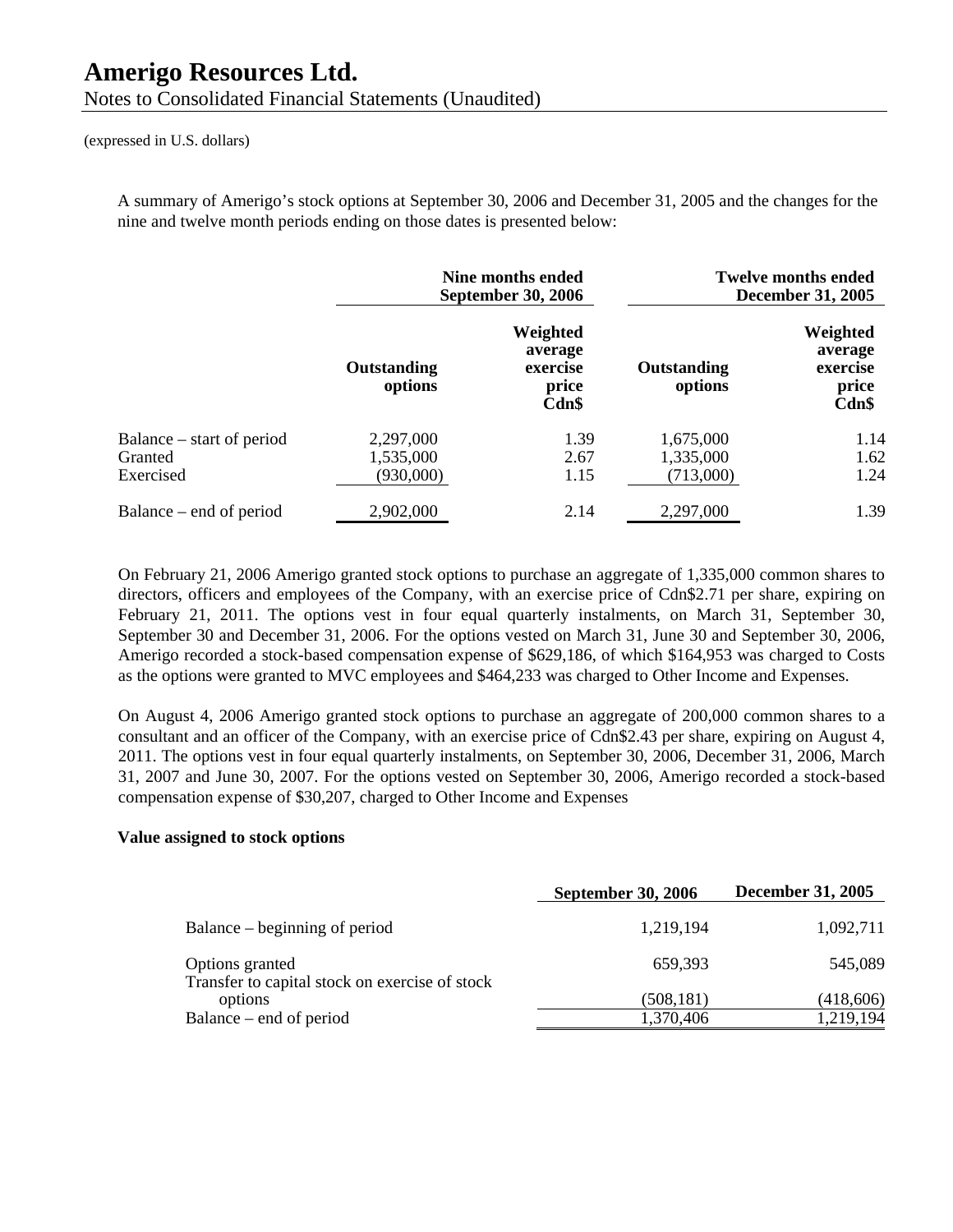A summary of Amerigo's stock options at September 30, 2006 and December 31, 2005 and the changes for the nine and twelve month periods ending on those dates is presented below:

|                                                   |                                     | Nine months ended<br><b>September 30, 2006</b>    |                                     | <b>Twelve months ended</b><br><b>December 31, 2005</b> |
|---------------------------------------------------|-------------------------------------|---------------------------------------------------|-------------------------------------|--------------------------------------------------------|
|                                                   | Outstanding<br>options              | Weighted<br>average<br>exercise<br>price<br>Cdn\$ | Outstanding<br>options              | Weighted<br>average<br>exercise<br>price<br>Cdn\$      |
| Balance – start of period<br>Granted<br>Exercised | 2,297,000<br>1,535,000<br>(930,000) | 1.39<br>2.67<br>1.15                              | 1,675,000<br>1,335,000<br>(713,000) | 1.14<br>1.62<br>1.24                                   |
| Balance – end of period                           | 2,902,000                           | 2.14                                              | 2,297,000                           | 1.39                                                   |

On February 21, 2006 Amerigo granted stock options to purchase an aggregate of 1,335,000 common shares to directors, officers and employees of the Company, with an exercise price of Cdn\$2.71 per share, expiring on February 21, 2011. The options vest in four equal quarterly instalments, on March 31, September 30, September 30 and December 31, 2006. For the options vested on March 31, June 30 and September 30, 2006, Amerigo recorded a stock-based compensation expense of \$629,186, of which \$164,953 was charged to Costs as the options were granted to MVC employees and \$464,233 was charged to Other Income and Expenses.

On August 4, 2006 Amerigo granted stock options to purchase an aggregate of 200,000 common shares to a consultant and an officer of the Company, with an exercise price of Cdn\$2.43 per share, expiring on August 4, 2011. The options vest in four equal quarterly instalments, on September 30, 2006, December 31, 2006, March 31, 2007 and June 30, 2007. For the options vested on September 30, 2006, Amerigo recorded a stock-based compensation expense of \$30,207, charged to Other Income and Expenses

#### **Value assigned to stock options**

|                                                                   | <b>September 30, 2006</b> | <b>December 31, 2005</b> |
|-------------------------------------------------------------------|---------------------------|--------------------------|
| Balance – beginning of period                                     | 1,219,194                 | 1,092,711                |
| Options granted<br>Transfer to capital stock on exercise of stock | 659,393                   | 545,089                  |
| options                                                           | (508, 181)                | (418,606)                |
| Balance – end of period                                           | 1,370,406                 | 1,219,194                |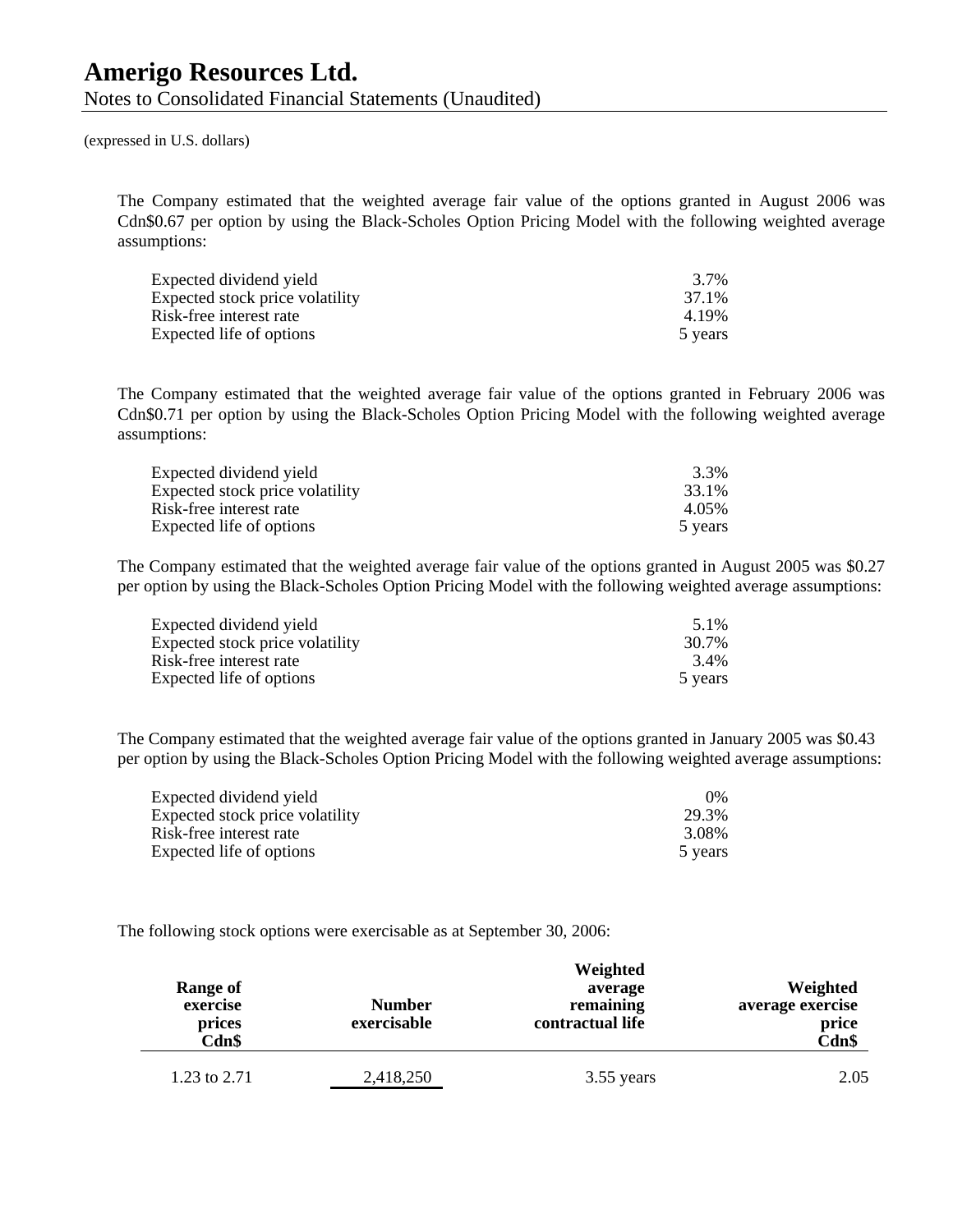The Company estimated that the weighted average fair value of the options granted in August 2006 was Cdn\$0.67 per option by using the Black-Scholes Option Pricing Model with the following weighted average assumptions:

| Expected dividend yield         | 3.7%    |
|---------------------------------|---------|
| Expected stock price volatility | 37.1%   |
| Risk-free interest rate         | 4.19%   |
| Expected life of options        | 5 years |

The Company estimated that the weighted average fair value of the options granted in February 2006 was Cdn\$0.71 per option by using the Black-Scholes Option Pricing Model with the following weighted average assumptions:

| Expected dividend yield         | 3.3%    |
|---------------------------------|---------|
| Expected stock price volatility | 33.1%   |
| Risk-free interest rate         | 4.05%   |
| Expected life of options        | 5 years |

The Company estimated that the weighted average fair value of the options granted in August 2005 was \$0.27 per option by using the Black-Scholes Option Pricing Model with the following weighted average assumptions:

| Expected dividend yield         | 5.1%    |
|---------------------------------|---------|
| Expected stock price volatility | 30.7%   |
| Risk-free interest rate         | 3.4%    |
| Expected life of options        | 5 years |

The Company estimated that the weighted average fair value of the options granted in January 2005 was \$0.43 per option by using the Black-Scholes Option Pricing Model with the following weighted average assumptions:

| Expected dividend yield         | $0\%$   |
|---------------------------------|---------|
| Expected stock price volatility | 29.3%   |
| Risk-free interest rate         | 3.08%   |
| Expected life of options        | 5 years |

The following stock options were exercisable as at September 30, 2006:

| <b>Range of</b><br>exercise<br>prices<br>Cdn\$ | <b>Number</b><br>exercisable | Weighted<br>average<br>remaining<br>contractual life | Weighted<br>average exercise<br>price<br>Cdn\$ |
|------------------------------------------------|------------------------------|------------------------------------------------------|------------------------------------------------|
| 1.23 to 2.71                                   | 2,418,250                    | 3.55 years                                           | 2.05                                           |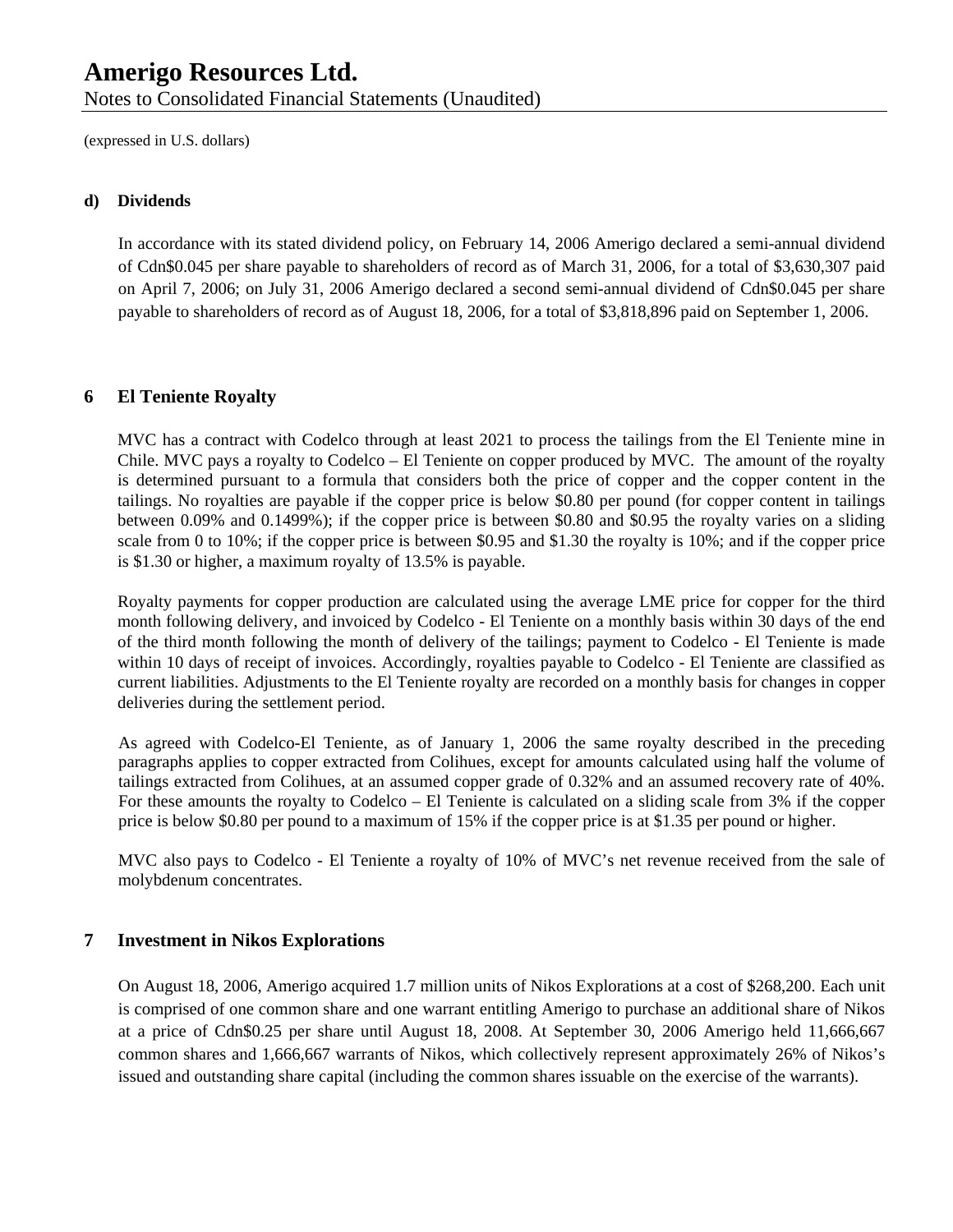Notes to Consolidated Financial Statements (Unaudited)

(expressed in U.S. dollars)

#### **d) Dividends**

In accordance with its stated dividend policy, on February 14, 2006 Amerigo declared a semi-annual dividend of Cdn\$0.045 per share payable to shareholders of record as of March 31, 2006, for a total of \$3,630,307 paid on April 7, 2006; on July 31, 2006 Amerigo declared a second semi-annual dividend of Cdn\$0.045 per share payable to shareholders of record as of August 18, 2006, for a total of \$3,818,896 paid on September 1, 2006.

#### **6 El Teniente Royalty**

MVC has a contract with Codelco through at least 2021 to process the tailings from the El Teniente mine in Chile. MVC pays a royalty to Codelco – El Teniente on copper produced by MVC. The amount of the royalty is determined pursuant to a formula that considers both the price of copper and the copper content in the tailings. No royalties are payable if the copper price is below \$0.80 per pound (for copper content in tailings between 0.09% and 0.1499%); if the copper price is between \$0.80 and \$0.95 the royalty varies on a sliding scale from 0 to 10%; if the copper price is between \$0.95 and \$1.30 the royalty is 10%; and if the copper price is \$1.30 or higher, a maximum royalty of 13.5% is payable.

Royalty payments for copper production are calculated using the average LME price for copper for the third month following delivery, and invoiced by Codelco - El Teniente on a monthly basis within 30 days of the end of the third month following the month of delivery of the tailings; payment to Codelco - El Teniente is made within 10 days of receipt of invoices. Accordingly, royalties payable to Codelco - El Teniente are classified as current liabilities. Adjustments to the El Teniente royalty are recorded on a monthly basis for changes in copper deliveries during the settlement period.

As agreed with Codelco-El Teniente, as of January 1, 2006 the same royalty described in the preceding paragraphs applies to copper extracted from Colihues, except for amounts calculated using half the volume of tailings extracted from Colihues, at an assumed copper grade of 0.32% and an assumed recovery rate of 40%. For these amounts the royalty to Codelco – El Teniente is calculated on a sliding scale from 3% if the copper price is below \$0.80 per pound to a maximum of 15% if the copper price is at \$1.35 per pound or higher.

MVC also pays to Codelco - El Teniente a royalty of 10% of MVC's net revenue received from the sale of molybdenum concentrates.

#### **7 Investment in Nikos Explorations**

On August 18, 2006, Amerigo acquired 1.7 million units of Nikos Explorations at a cost of \$268,200. Each unit is comprised of one common share and one warrant entitling Amerigo to purchase an additional share of Nikos at a price of Cdn\$0.25 per share until August 18, 2008. At September 30, 2006 Amerigo held 11,666,667 common shares and 1,666,667 warrants of Nikos, which collectively represent approximately 26% of Nikos's issued and outstanding share capital (including the common shares issuable on the exercise of the warrants).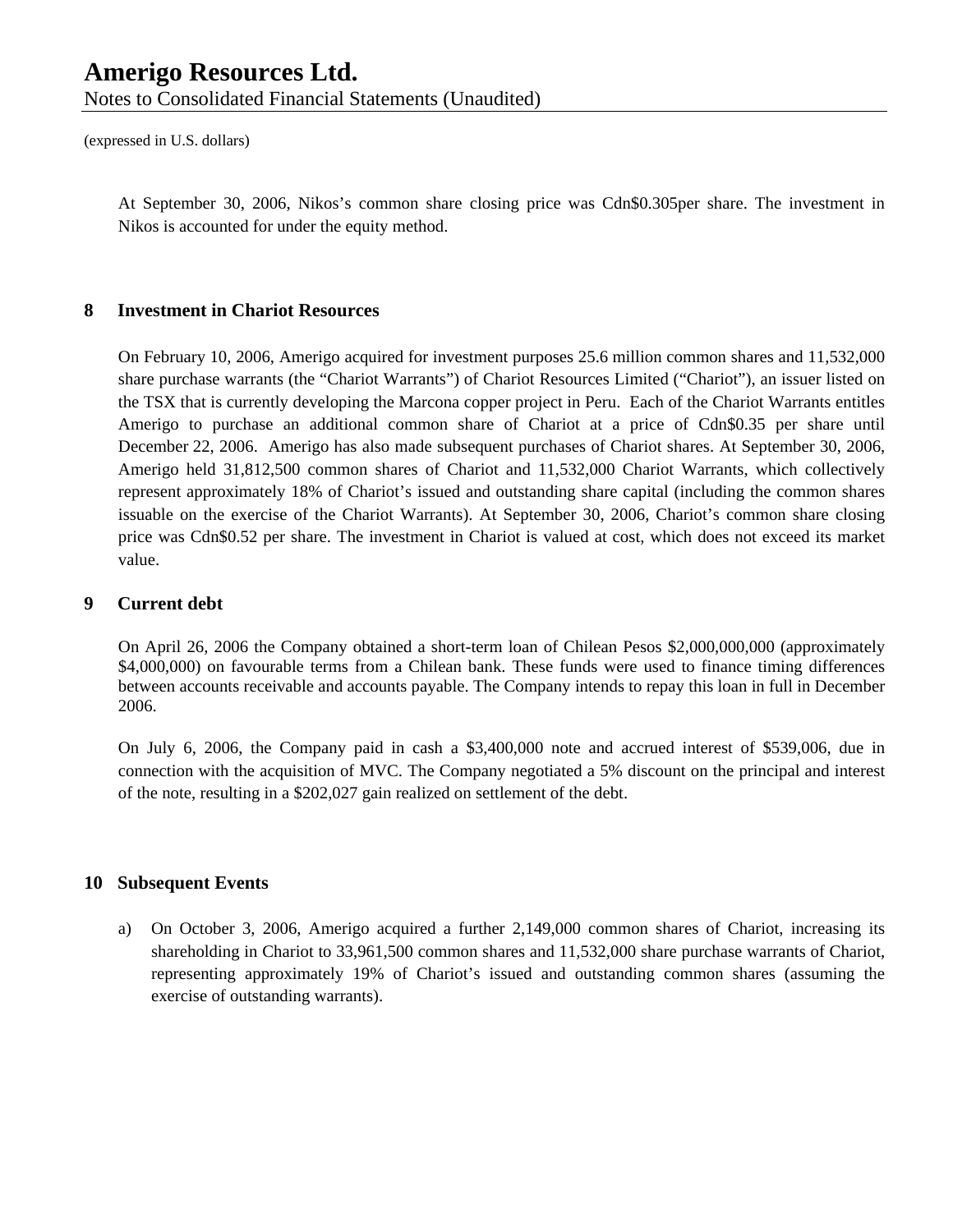At September 30, 2006, Nikos's common share closing price was Cdn\$0.305per share. The investment in Nikos is accounted for under the equity method.

#### **8 Investment in Chariot Resources**

On February 10, 2006, Amerigo acquired for investment purposes 25.6 million common shares and 11,532,000 share purchase warrants (the "Chariot Warrants") of Chariot Resources Limited ("Chariot"), an issuer listed on the TSX that is currently developing the Marcona copper project in Peru. Each of the Chariot Warrants entitles Amerigo to purchase an additional common share of Chariot at a price of Cdn\$0.35 per share until December 22, 2006. Amerigo has also made subsequent purchases of Chariot shares. At September 30, 2006, Amerigo held 31,812,500 common shares of Chariot and 11,532,000 Chariot Warrants, which collectively represent approximately 18% of Chariot's issued and outstanding share capital (including the common shares issuable on the exercise of the Chariot Warrants). At September 30, 2006, Chariot's common share closing price was Cdn\$0.52 per share. The investment in Chariot is valued at cost, which does not exceed its market value.

#### **9 Current debt**

On April 26, 2006 the Company obtained a short-term loan of Chilean Pesos \$2,000,000,000 (approximately \$4,000,000) on favourable terms from a Chilean bank. These funds were used to finance timing differences between accounts receivable and accounts payable. The Company intends to repay this loan in full in December 2006.

On July 6, 2006, the Company paid in cash a \$3,400,000 note and accrued interest of \$539,006, due in connection with the acquisition of MVC. The Company negotiated a 5% discount on the principal and interest of the note, resulting in a \$202,027 gain realized on settlement of the debt.

#### **10 Subsequent Events**

a) On October 3, 2006, Amerigo acquired a further 2,149,000 common shares of Chariot, increasing its shareholding in Chariot to 33,961,500 common shares and 11,532,000 share purchase warrants of Chariot, representing approximately 19% of Chariot's issued and outstanding common shares (assuming the exercise of outstanding warrants).